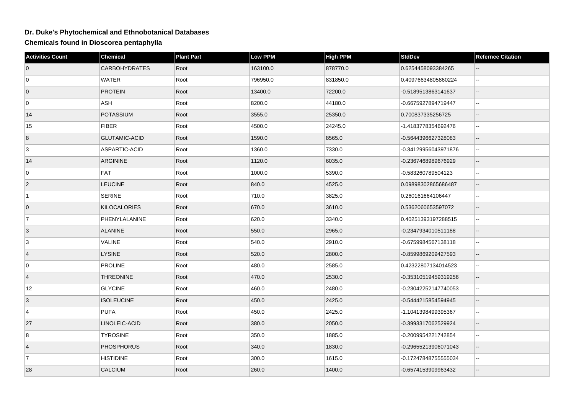## **Dr. Duke's Phytochemical and Ethnobotanical Databases**

**Chemicals found in Dioscorea pentaphylla**

| <b>Activities Count</b> | <b>Chemical</b>      | <b>Plant Part</b> | <b>Low PPM</b> | <b>High PPM</b> | <b>StdDev</b>        | <b>Refernce Citation</b>    |
|-------------------------|----------------------|-------------------|----------------|-----------------|----------------------|-----------------------------|
| $\overline{0}$          | <b>CARBOHYDRATES</b> | Root              | 163100.0       | 878770.0        | 0.6254458093384265   |                             |
| $\overline{0}$          | <b>WATER</b>         | Root              | 796950.0       | 831850.0        | 0.40976634805860224  | $\mathbf{L}$                |
| $\overline{0}$          | <b>PROTEIN</b>       | Root              | 13400.0        | 72200.0         | -0.5189513863141637  | $\overline{a}$              |
| 0                       | ASH                  | Root              | 8200.0         | 44180.0         | -0.6675927894719447  | $\sim$ $\sim$               |
| 14                      | POTASSIUM            | Root              | 3555.0         | 25350.0         | 0.700837335256725    | $\overline{\phantom{a}}$    |
| 15                      | <b>FIBER</b>         | Root              | 4500.0         | 24245.0         | -1.4183778354692476  | $\overline{a}$              |
| 8                       | <b>GLUTAMIC-ACID</b> | Root              | 1590.0         | 8565.0          | -0.5644396627328083  | $\overline{a}$              |
| 3                       | ASPARTIC-ACID        | Root              | 1360.0         | 7330.0          | -0.34129956043971876 | $\mathbf{L}$                |
| 14                      | <b>ARGININE</b>      | Root              | 1120.0         | 6035.0          | -0.2367468989676929  | $\overline{a}$              |
| $\mathbf 0$             | FAT                  | Root              | 1000.0         | 5390.0          | -0.583260789504123   | $\ddotsc$                   |
| $\vert$ 2               | <b>LEUCINE</b>       | Root              | 840.0          | 4525.0          | 0.09898302865686487  | $\mathbf{u}$                |
| $\overline{1}$          | SERINE               | Root              | 710.0          | 3825.0          | 0.260161664106447    | $\sim$                      |
| $\overline{0}$          | <b>KILOCALORIES</b>  | Root              | 670.0          | 3610.0          | 0.5362060653597072   | $\overline{\phantom{a}}$    |
| $\overline{7}$          | PHENYLALANINE        | Root              | 620.0          | 3340.0          | 0.40251393197288515  | $\sim$                      |
| 3                       | <b>ALANINE</b>       | Root              | 550.0          | 2965.0          | -0.2347934010511188  | $\overline{a}$              |
| 3                       | VALINE               | Root              | 540.0          | 2910.0          | -0.6759984567138118  | $\ddotsc$                   |
| $\overline{4}$          | <b>LYSINE</b>        | Root              | 520.0          | 2800.0          | -0.8599869209427593  | $\mathbf{u}$                |
| $\overline{0}$          | <b>PROLINE</b>       | Root              | 480.0          | 2585.0          | 0.42322807134014523  | $\sim$                      |
| $\overline{4}$          | <b>THREONINE</b>     | Root              | 470.0          | 2530.0          | -0.35310519459319256 | $\overline{\phantom{a}}$    |
| 12                      | <b>GLYCINE</b>       | Root              | 460.0          | 2480.0          | -0.23042252147740053 | $\mathcal{L}_{\mathcal{A}}$ |
| 3                       | <b>ISOLEUCINE</b>    | Root              | 450.0          | 2425.0          | -0.5444215854594945  | $\overline{\phantom{a}}$    |
| 4                       | <b>PUFA</b>          | Root              | 450.0          | 2425.0          | -1.1041398499395367  | $\mathbf{L}$                |
| 27                      | LINOLEIC-ACID        | Root              | 380.0          | 2050.0          | -0.3993317062529924  | $\overline{\phantom{a}}$    |
| 8                       | <b>TYROSINE</b>      | Root              | 350.0          | 1885.0          | -0.2009954221742854  | $\mathbf{u}$                |
| $\overline{4}$          | PHOSPHORUS           | Root              | 340.0          | 1830.0          | -0.29655213906071043 | $\overline{\phantom{a}}$    |
| $\overline{7}$          | <b>HISTIDINE</b>     | Root              | 300.0          | 1615.0          | -0.17247848755555034 | $\sim$                      |
| 28                      | <b>CALCIUM</b>       | Root              | 260.0          | 1400.0          | -0.6574153909963432  |                             |